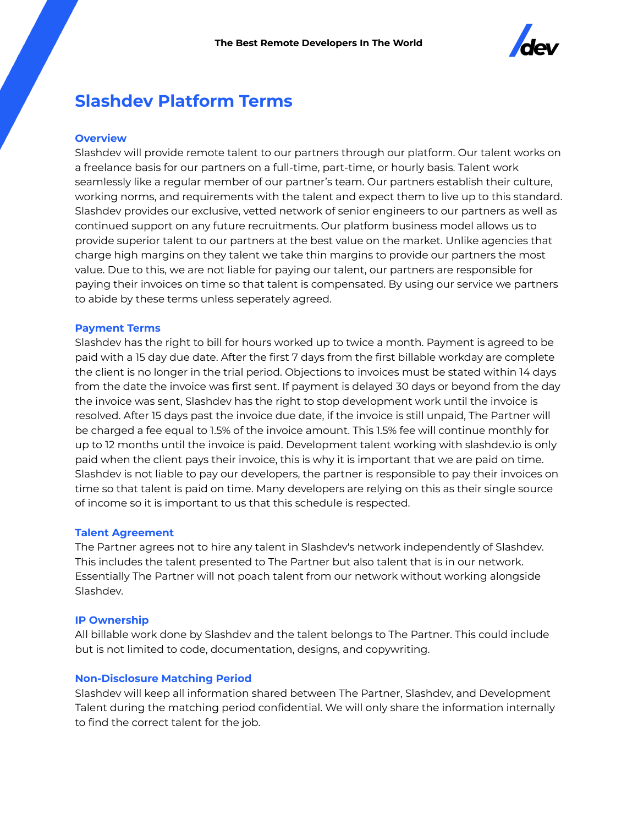

# **Slashdev Platform Terms**

#### **Overview**

Slashdev will provide remote talent to our partners through our platform. Our talent works on a freelance basis for our partners on a full-time, part-time, or hourly basis. Talent work seamlessly like a regular member of our partner's team. Our partners establish their culture, working norms, and requirements with the talent and expect them to live up to this standard. Slashdev provides our exclusive, vetted network of senior engineers to our partners as well as continued support on any future recruitments. Our platform business model allows us to provide superior talent to our partners at the best value on the market. Unlike agencies that charge high margins on they talent we take thin margins to provide our partners the most value. Due to this, we are not liable for paying our talent, our partners are responsible for paying their invoices on time so that talent is compensated. By using our service we partners to abide by these terms unless seperately agreed.

#### **Payment Terms**

Slashdev has the right to bill for hours worked up to twice a month. Payment is agreed to be paid with a 15 day due date. After the first 7 days from the first billable workday are complete the client is no longer in the trial period. Objections to invoices must be stated within 14 days from the date the invoice was first sent. If payment is delayed 30 days or beyond from the day the invoice was sent, Slashdev has the right to stop development work until the invoice is resolved. After 15 days past the invoice due date, if the invoice is still unpaid, The Partner will be charged a fee equal to 1.5% of the invoice amount. This 1.5% fee will continue monthly for up to 12 months until the invoice is paid. Development talent working with slashdev.io is only paid when the client pays their invoice, this is why it is important that we are paid on time. Slashdev is not liable to pay our developers, the partner is responsible to pay their invoices on time so that talent is paid on time. Many developers are relying on this as their single source of income so it is important to us that this schedule is respected.

#### **Talent Agreement**

The Partner agrees not to hire any talent in Slashdev's network independently of Slashdev. This includes the talent presented to The Partner but also talent that is in our network. Essentially The Partner will not poach talent from our network without working alongside Slashdev.

#### **IP Ownership**

All billable work done by Slashdev and the talent belongs to The Partner. This could include but is not limited to code, documentation, designs, and copywriting.

#### **Non-Disclosure Matching Period**

Slashdev will keep all information shared between The Partner, Slashdev, and Development Talent during the matching period confidential. We will only share the information internally to find the correct talent for the job.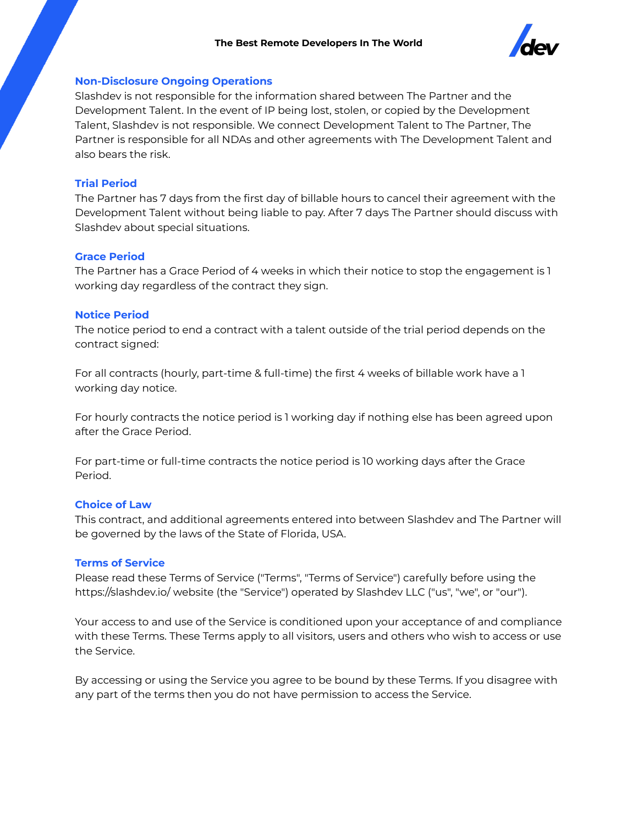

#### **Non-Disclosure Ongoing Operations**

Slashdev is not responsible for the information shared between The Partner and the Development Talent. In the event of IP being lost, stolen, or copied by the Development Talent, Slashdev is not responsible. We connect Development Talent to The Partner, The Partner is responsible for all NDAs and other agreements with The Development Talent and also bears the risk.

## **Trial Period**

The Partner has 7 days from the first day of billable hours to cancel their agreement with the Development Talent without being liable to pay. After 7 days The Partner should discuss with Slashdev about special situations.

## **Grace Period**

The Partner has a Grace Period of 4 weeks in which their notice to stop the engagement is 1 working day regardless of the contract they sign.

## **Notice Period**

The notice period to end a contract with a talent outside of the trial period depends on the contract signed:

For all contracts (hourly, part-time & full-time) the first 4 weeks of billable work have a 1 working day notice.

For hourly contracts the notice period is 1 working day if nothing else has been agreed upon after the Grace Period.

For part-time or full-time contracts the notice period is 10 working days after the Grace Period.

#### **Choice of Law**

This contract, and additional agreements entered into between Slashdev and The Partner will be governed by the laws of the State of Florida, USA.

#### **Terms of Service**

Please read these Terms of Service ("Terms", "Terms of Service") carefully before using the https://slashdev.io/ website (the "Service") operated by Slashdev LLC ("us", "we", or "our").

Your access to and use of the Service is conditioned upon your acceptance of and compliance with these Terms. These Terms apply to all visitors, users and others who wish to access or use the Service.

By accessing or using the Service you agree to be bound by these Terms. If you disagree with any part of the terms then you do not have permission to access the Service.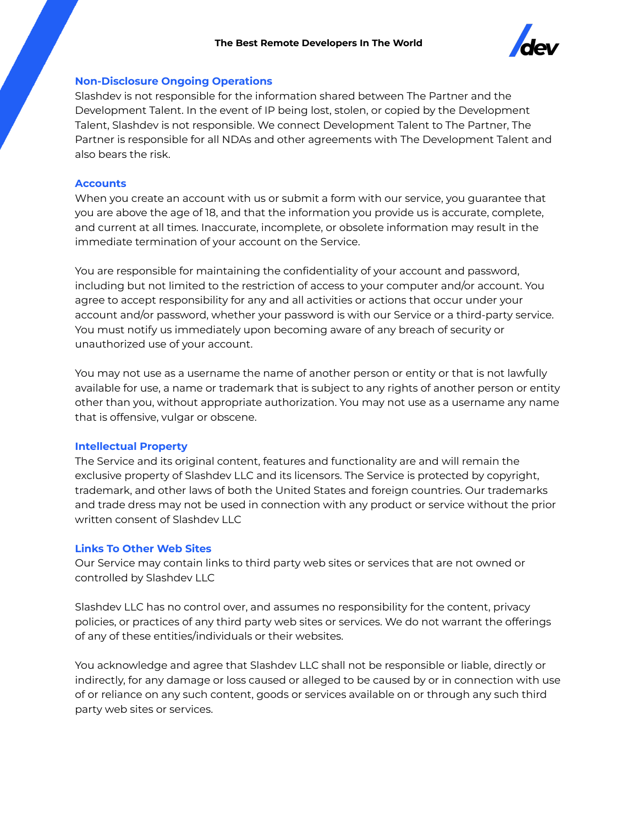

#### **Non-Disclosure Ongoing Operations**

Slashdev is not responsible for the information shared between The Partner and the Development Talent. In the event of IP being lost, stolen, or copied by the Development Talent, Slashdev is not responsible. We connect Development Talent to The Partner, The Partner is responsible for all NDAs and other agreements with The Development Talent and also bears the risk.

## **Accounts**

When you create an account with us or submit a form with our service, you guarantee that you are above the age of 18, and that the information you provide us is accurate, complete, and current at all times. Inaccurate, incomplete, or obsolete information may result in the immediate termination of your account on the Service.

You are responsible for maintaining the confidentiality of your account and password, including but not limited to the restriction of access to your computer and/or account. You agree to accept responsibility for any and all activities or actions that occur under your account and/or password, whether your password is with our Service or a third-party service. You must notify us immediately upon becoming aware of any breach of security or unauthorized use of your account.

You may not use as a username the name of another person or entity or that is not lawfully available for use, a name or trademark that is subject to any rights of another person or entity other than you, without appropriate authorization. You may not use as a username any name that is offensive, vulgar or obscene.

## **Intellectual Property**

The Service and its original content, features and functionality are and will remain the exclusive property of Slashdev LLC and its licensors. The Service is protected by copyright, trademark, and other laws of both the United States and foreign countries. Our trademarks and trade dress may not be used in connection with any product or service without the prior written consent of Slashdev LLC

## **Links To Other Web Sites**

Our Service may contain links to third party web sites or services that are not owned or controlled by Slashdev LLC

Slashdev LLC has no control over, and assumes no responsibility for the content, privacy policies, or practices of any third party web sites or services. We do not warrant the offerings of any of these entities/individuals or their websites.

You acknowledge and agree that Slashdev LLC shall not be responsible or liable, directly or indirectly, for any damage or loss caused or alleged to be caused by or in connection with use of or reliance on any such content, goods or services available on or through any such third party web sites or services.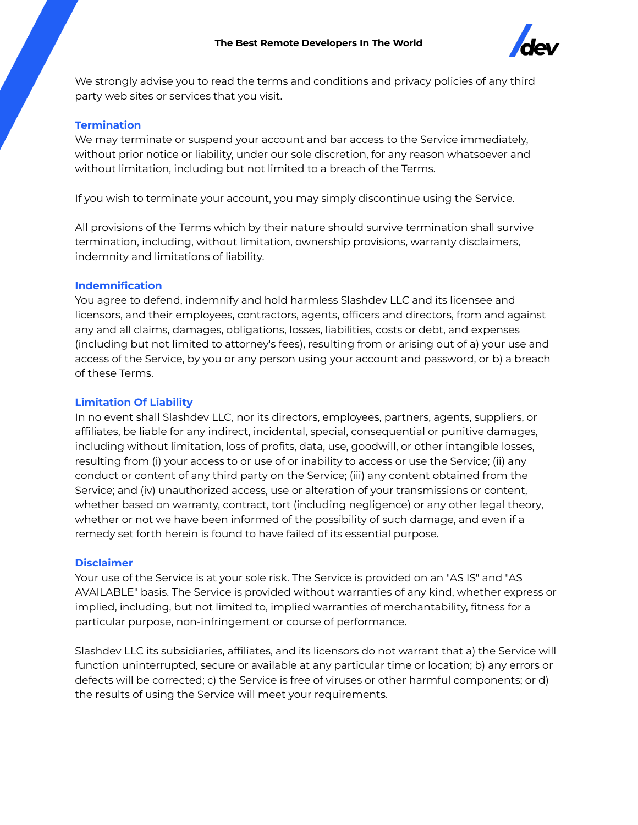

We strongly advise you to read the terms and conditions and privacy policies of any third party web sites or services that you visit.

## **Termination**

We may terminate or suspend your account and bar access to the Service immediately, without prior notice or liability, under our sole discretion, for any reason whatsoever and without limitation, including but not limited to a breach of the Terms.

If you wish to terminate your account, you may simply discontinue using the Service.

All provisions of the Terms which by their nature should survive termination shall survive termination, including, without limitation, ownership provisions, warranty disclaimers, indemnity and limitations of liability.

## **Indemnification**

You agree to defend, indemnify and hold harmless Slashdev LLC and its licensee and licensors, and their employees, contractors, agents, officers and directors, from and against any and all claims, damages, obligations, losses, liabilities, costs or debt, and expenses (including but not limited to attorney's fees), resulting from or arising out of a) your use and access of the Service, by you or any person using your account and password, or b) a breach of these Terms.

## **Limitation Of Liability**

In no event shall Slashdev LLC, nor its directors, employees, partners, agents, suppliers, or affiliates, be liable for any indirect, incidental, special, consequential or punitive damages, including without limitation, loss of profits, data, use, goodwill, or other intangible losses, resulting from (i) your access to or use of or inability to access or use the Service; (ii) any conduct or content of any third party on the Service; (iii) any content obtained from the Service; and (iv) unauthorized access, use or alteration of your transmissions or content, whether based on warranty, contract, tort (including negligence) or any other legal theory, whether or not we have been informed of the possibility of such damage, and even if a remedy set forth herein is found to have failed of its essential purpose.

#### **Disclaimer**

Your use of the Service is at your sole risk. The Service is provided on an "AS IS" and "AS AVAILABLE" basis. The Service is provided without warranties of any kind, whether express or implied, including, but not limited to, implied warranties of merchantability, fitness for a particular purpose, non-infringement or course of performance.

Slashdev LLC its subsidiaries, affiliates, and its licensors do not warrant that a) the Service will function uninterrupted, secure or available at any particular time or location; b) any errors or defects will be corrected; c) the Service is free of viruses or other harmful components; or d) the results of using the Service will meet your requirements.